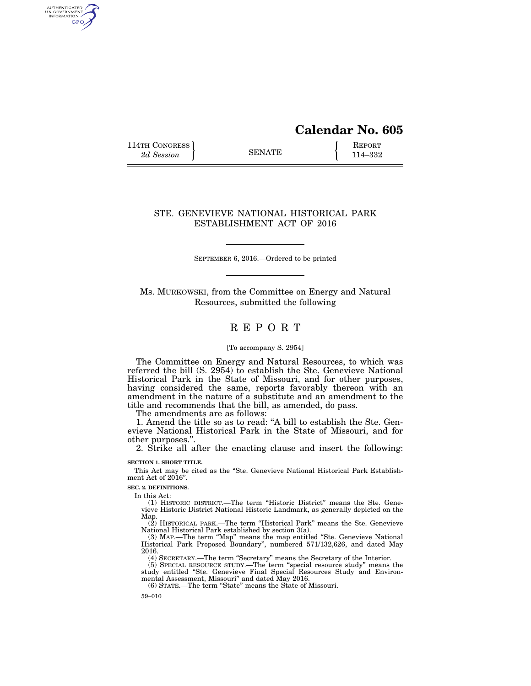# **Calendar No. 605**

114TH CONGRESS **REPORT** 2d Session **114-332** 

AUTHENTICATED<br>U.S. GOVERNMENT<br>INFORMATION GPO

# STE. GENEVIEVE NATIONAL HISTORICAL PARK ESTABLISHMENT ACT OF 2016

SEPTEMBER 6, 2016.—Ordered to be printed

Ms. MURKOWSKI, from the Committee on Energy and Natural Resources, submitted the following

# R E P O R T

# [To accompany S. 2954]

The Committee on Energy and Natural Resources, to which was referred the bill (S. 2954) to establish the Ste. Genevieve National Historical Park in the State of Missouri, and for other purposes, having considered the same, reports favorably thereon with an amendment in the nature of a substitute and an amendment to the title and recommends that the bill, as amended, do pass.

The amendments are as follows:

1. Amend the title so as to read: ''A bill to establish the Ste. Genevieve National Historical Park in the State of Missouri, and for other purposes.''.

2. Strike all after the enacting clause and insert the following:

## **SECTION 1. SHORT TITLE.**

This Act may be cited as the "Ste. Genevieve National Historical Park Establishment Act of 2016''.

**SEC. 2. DEFINITIONS.** 

In this Act:

(1) HISTORIC DISTRICT.—The term ''Historic District'' means the Ste. Genevieve Historic District National Historic Landmark, as generally depicted on the Map.

(2) HISTORICAL PARK.—The term ''Historical Park'' means the Ste. Genevieve National Historical Park established by section 3(a).

(3) MAP.—The term ''Map'' means the map entitled ''Ste. Genevieve National Historical Park Proposed Boundary'', numbered 571/132,626, and dated May 2016.

(4) SECRETARY.—The term ''Secretary'' means the Secretary of the Interior.

(5) SPECIAL RESOURCE STUDY.—The term ''special resource study'' means the study entitled ''Ste. Genevieve Final Special Resources Study and Environmental Assessment, Missouri'' and dated May 2016.

(6) STATE.—The term ''State'' means the State of Missouri.

59–010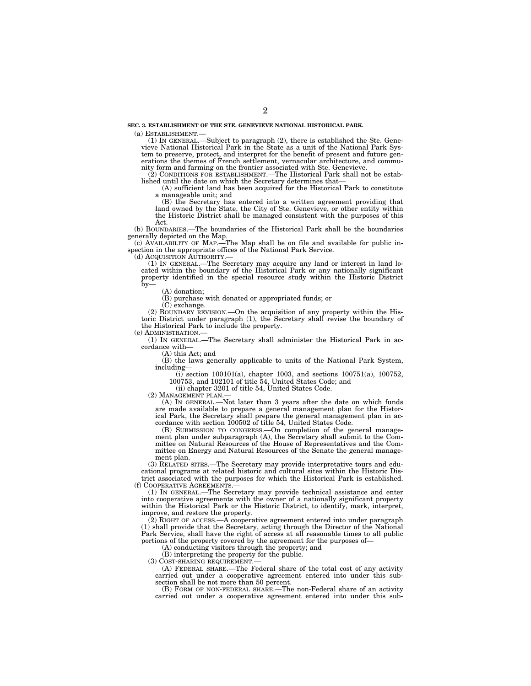(a) ESTABLISHMENT.— (1) IN GENERAL.—Subject to paragraph (2), there is established the Ste. Gene-vieve National Historical Park in the State as a unit of the National Park System to preserve, protect, and interpret for the benefit of present and future generations the themes of French settlement, vernacular architecture, and community form and farming on the frontier associated with Ste. Genevieve.

(2) CONDITIONS FOR ESTABLISHMENT.—The Historical Park shall not be established until the date on which the Secretary determines that— (A) sufficient land has been acquired for the Historical Park to constitute

a manageable unit; and

(B) the Secretary has entered into a written agreement providing that land owned by the State, the City of Ste. Genevieve, or other entity within the Historic District shall be managed consistent with the purposes of this Act.

(b) BOUNDARIES.—The boundaries of the Historical Park shall be the boundaries

generally depicted on the Map. (c) AVAILABILITY OF MAP.—The Map shall be on file and available for public in-spection in the appropriate offices of the National Park Service.

(d) ACQUISITION AUTHORITY.— (1) IN GENERAL.—The Secretary may acquire any land or interest in land located within the boundary of the Historical Park or any nationally significant property identified in the special resource study within the Historic District  $\bar{b}$ y-

(A) donation;

(B) purchase with donated or appropriated funds; or

(C) exchange.

(2) BOUNDARY REVISION.—On the acquisition of any property within the Historic District under paragraph (1), the Secretary shall revise the boundary of the Historical Park to include the property.

(e) ADMINISTRATION.—

(1) IN GENERAL.—The Secretary shall administer the Historical Park in accordance with—

(A) this Act; and

(B) the laws generally applicable to units of the National Park System, including—

(i) section 100101(a), chapter 1003, and sections 100751(a), 100752, 100753, and 102101 of title 54, United States Code; and

(ii) chapter 3201 of title 54, United States Code.

(2) MANAGEMENT PLAN.—

(A) IN GENERAL.—Not later than 3 years after the date on which funds are made available to prepare a general management plan for the Historical Park, the Secretary shall prepare the general management plan in accordance with section 100502 of title 54, United States Code.

(B) SUBMISSION TO CONGRESS.—On completion of the general management plan under subparagraph (A), the Secretary shall submit to the Committee on Natural Resources of the House of Representatives and the Committee on Energy and Natural Resources of the Senate the general management plan.

(3) RELATED SITES.—The Secretary may provide interpretative tours and educational programs at related historic and cultural sites within the Historic District associated with the purposes for which the Historical Park is established. (f) COOPERATIVE AGREEMENTS.—

(1) IN GENERAL.—The Secretary may provide technical assistance and enter into cooperative agreements with the owner of a nationally significant property within the Historical Park or the Historic District, to identify, mark, interpret, improve, and restore the property.

(2) RIGHT OF ACCESS.—A cooperative agreement entered into under paragraph (1) shall provide that the Secretary, acting through the Director of the National Park Service, shall have the right of access at all reasonable times to all public portions of the property covered by the agreement for the purposes of—

(A) conducting visitors through the property; and

(B) interpreting the property for the public.

(3) COST-SHARING REQUIREMENT.

(A) FEDERAL SHARE.—The Federal share of the total cost of any activity carried out under a cooperative agreement entered into under this subsection shall be not more than 50 percent.

(B) FORM OF NON-FEDERAL SHARE.—The non-Federal share of an activity carried out under a cooperative agreement entered into under this sub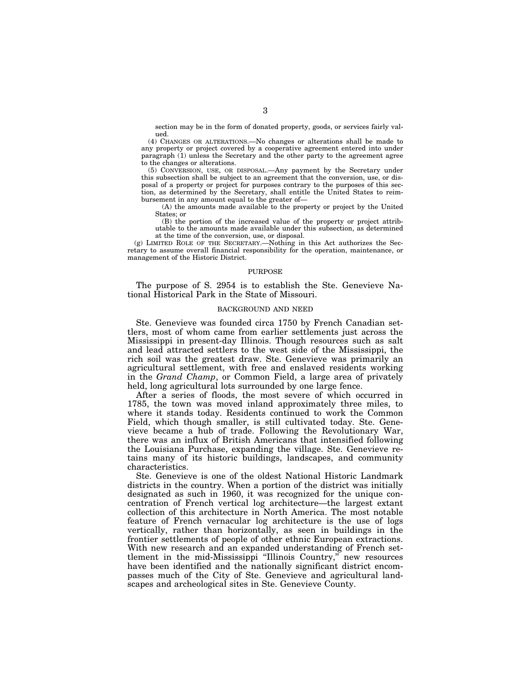section may be in the form of donated property, goods, or services fairly valued.

(4) CHANGES OR ALTERATIONS.—No changes or alterations shall be made to any property or project covered by a cooperative agreement entered into under paragraph (1) unless the Secretary and the other party to the agreement agree to the changes or alterations.

(5) CONVERSION, USE, OR DISPOSAL.—Any payment by the Secretary under this subsection shall be subject to an agreement that the conversion, use, or disposal of a property or project for purposes contrary to the purposes of this section, as determined by the Secretary, shall entitle the United States to reimbursement in any amount equal to the greater of—

(A) the amounts made available to the property or project by the United States; or

(B) the portion of the increased value of the property or project attributable to the amounts made available under this subsection, as determined at the time of the conversion, use, or disposal.

(g) LIMITED ROLE OF THE SECRETARY.—Nothing in this Act authorizes the Secretary to assume overall financial responsibility for the operation, maintenance, or management of the Historic District.

#### PURPOSE

The purpose of S. 2954 is to establish the Ste. Genevieve National Historical Park in the State of Missouri.

### BACKGROUND AND NEED

Ste. Genevieve was founded circa 1750 by French Canadian settlers, most of whom came from earlier settlements just across the Mississippi in present-day Illinois. Though resources such as salt and lead attracted settlers to the west side of the Mississippi, the rich soil was the greatest draw. Ste. Genevieve was primarily an agricultural settlement, with free and enslaved residents working in the *Grand Champ*, or Common Field, a large area of privately held, long agricultural lots surrounded by one large fence.

After a series of floods, the most severe of which occurred in 1785, the town was moved inland approximately three miles, to where it stands today. Residents continued to work the Common Field, which though smaller, is still cultivated today. Ste. Genevieve became a hub of trade. Following the Revolutionary War, there was an influx of British Americans that intensified following the Louisiana Purchase, expanding the village. Ste. Genevieve retains many of its historic buildings, landscapes, and community characteristics.

Ste. Genevieve is one of the oldest National Historic Landmark districts in the country. When a portion of the district was initially designated as such in 1960, it was recognized for the unique concentration of French vertical log architecture—the largest extant collection of this architecture in North America. The most notable feature of French vernacular log architecture is the use of logs vertically, rather than horizontally, as seen in buildings in the frontier settlements of people of other ethnic European extractions. With new research and an expanded understanding of French settlement in the mid-Mississippi ''Illinois Country,'' new resources have been identified and the nationally significant district encompasses much of the City of Ste. Genevieve and agricultural landscapes and archeological sites in Ste. Genevieve County.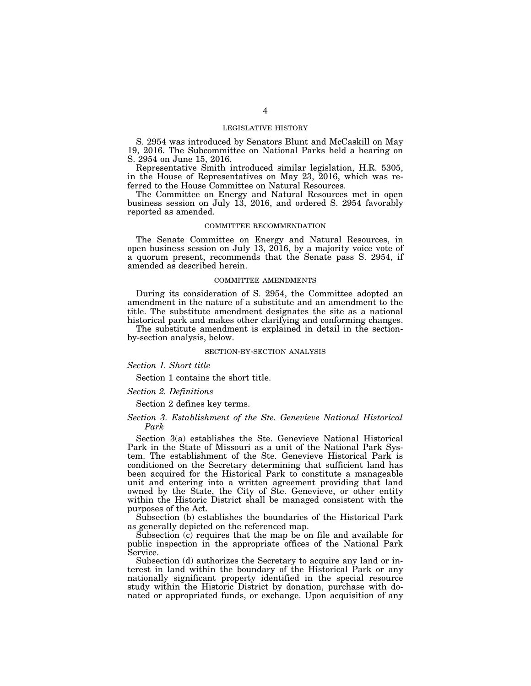### LEGISLATIVE HISTORY

S. 2954 was introduced by Senators Blunt and McCaskill on May 19, 2016. The Subcommittee on National Parks held a hearing on S. 2954 on June 15, 2016.

Representative Smith introduced similar legislation, H.R. 5305, in the House of Representatives on May 23, 2016, which was referred to the House Committee on Natural Resources.

The Committee on Energy and Natural Resources met in open business session on July 13, 2016, and ordered S. 2954 favorably reported as amended.

#### COMMITTEE RECOMMENDATION

The Senate Committee on Energy and Natural Resources, in open business session on July 13, 2016, by a majority voice vote of a quorum present, recommends that the Senate pass S. 2954, if amended as described herein.

#### COMMITTEE AMENDMENTS

During its consideration of S. 2954, the Committee adopted an amendment in the nature of a substitute and an amendment to the title. The substitute amendment designates the site as a national historical park and makes other clarifying and conforming changes.

The substitute amendment is explained in detail in the sectionby-section analysis, below.

### SECTION-BY-SECTION ANALYSIS

#### *Section 1. Short title*

Section 1 contains the short title.

### *Section 2. Definitions*

Section 2 defines key terms.

#### *Section 3. Establishment of the Ste. Genevieve National Historical Park*

Section 3(a) establishes the Ste. Genevieve National Historical Park in the State of Missouri as a unit of the National Park System. The establishment of the Ste. Genevieve Historical Park is conditioned on the Secretary determining that sufficient land has been acquired for the Historical Park to constitute a manageable unit and entering into a written agreement providing that land owned by the State, the City of Ste. Genevieve, or other entity within the Historic District shall be managed consistent with the purposes of the Act.

Subsection (b) establishes the boundaries of the Historical Park as generally depicted on the referenced map.

Subsection (c) requires that the map be on file and available for public inspection in the appropriate offices of the National Park Service.

Subsection (d) authorizes the Secretary to acquire any land or interest in land within the boundary of the Historical Park or any nationally significant property identified in the special resource study within the Historic District by donation, purchase with donated or appropriated funds, or exchange. Upon acquisition of any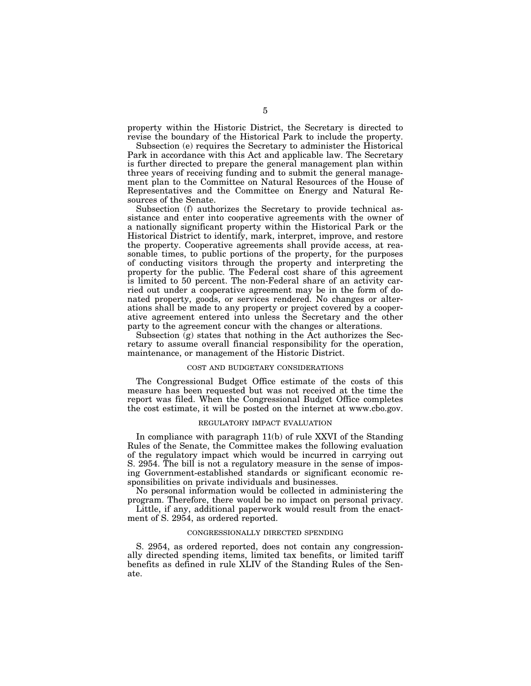property within the Historic District, the Secretary is directed to revise the boundary of the Historical Park to include the property.

Subsection (e) requires the Secretary to administer the Historical Park in accordance with this Act and applicable law. The Secretary is further directed to prepare the general management plan within three years of receiving funding and to submit the general management plan to the Committee on Natural Resources of the House of Representatives and the Committee on Energy and Natural Resources of the Senate.

Subsection (f) authorizes the Secretary to provide technical assistance and enter into cooperative agreements with the owner of a nationally significant property within the Historical Park or the Historical District to identify, mark, interpret, improve, and restore the property. Cooperative agreements shall provide access, at reasonable times, to public portions of the property, for the purposes of conducting visitors through the property and interpreting the property for the public. The Federal cost share of this agreement is limited to 50 percent. The non-Federal share of an activity carried out under a cooperative agreement may be in the form of donated property, goods, or services rendered. No changes or alterations shall be made to any property or project covered by a cooperative agreement entered into unless the Secretary and the other party to the agreement concur with the changes or alterations.

Subsection (g) states that nothing in the Act authorizes the Secretary to assume overall financial responsibility for the operation, maintenance, or management of the Historic District.

#### COST AND BUDGETARY CONSIDERATIONS

The Congressional Budget Office estimate of the costs of this measure has been requested but was not received at the time the report was filed. When the Congressional Budget Office completes the cost estimate, it will be posted on the internet at www.cbo.gov.

### REGULATORY IMPACT EVALUATION

In compliance with paragraph 11(b) of rule XXVI of the Standing Rules of the Senate, the Committee makes the following evaluation of the regulatory impact which would be incurred in carrying out S. 2954. The bill is not a regulatory measure in the sense of imposing Government-established standards or significant economic responsibilities on private individuals and businesses.

No personal information would be collected in administering the program. Therefore, there would be no impact on personal privacy.

Little, if any, additional paperwork would result from the enactment of S. 2954, as ordered reported.

#### CONGRESSIONALLY DIRECTED SPENDING

S. 2954, as ordered reported, does not contain any congressionally directed spending items, limited tax benefits, or limited tariff benefits as defined in rule XLIV of the Standing Rules of the Senate.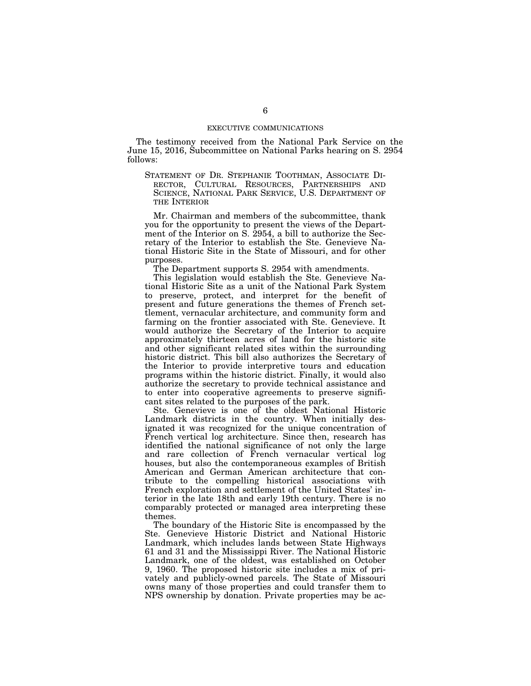The testimony received from the National Park Service on the June 15, 2016, Subcommittee on National Parks hearing on S. 2954 follows:

STATEMENT OF DR. STEPHANIE TOOTHMAN, ASSOCIATE DI-RECTOR, CULTURAL RESOURCES, PARTNERSHIPS AND SCIENCE, NATIONAL PARK SERVICE, U.S. DEPARTMENT OF THE INTERIOR

Mr. Chairman and members of the subcommittee, thank you for the opportunity to present the views of the Department of the Interior on S. 2954, a bill to authorize the Secretary of the Interior to establish the Ste. Genevieve National Historic Site in the State of Missouri, and for other purposes.

The Department supports S. 2954 with amendments.

This legislation would establish the Ste. Genevieve National Historic Site as a unit of the National Park System to preserve, protect, and interpret for the benefit of present and future generations the themes of French settlement, vernacular architecture, and community form and farming on the frontier associated with Ste. Genevieve. It would authorize the Secretary of the Interior to acquire approximately thirteen acres of land for the historic site and other significant related sites within the surrounding historic district. This bill also authorizes the Secretary of the Interior to provide interpretive tours and education programs within the historic district. Finally, it would also authorize the secretary to provide technical assistance and to enter into cooperative agreements to preserve significant sites related to the purposes of the park.

Ste. Genevieve is one of the oldest National Historic Landmark districts in the country. When initially designated it was recognized for the unique concentration of French vertical log architecture. Since then, research has identified the national significance of not only the large and rare collection of French vernacular vertical log houses, but also the contemporaneous examples of British American and German American architecture that contribute to the compelling historical associations with French exploration and settlement of the United States' interior in the late 18th and early 19th century. There is no comparably protected or managed area interpreting these themes.

The boundary of the Historic Site is encompassed by the Ste. Genevieve Historic District and National Historic Landmark, which includes lands between State Highways 61 and 31 and the Mississippi River. The National Historic Landmark, one of the oldest, was established on October 9, 1960. The proposed historic site includes a mix of privately and publicly-owned parcels. The State of Missouri owns many of those properties and could transfer them to NPS ownership by donation. Private properties may be ac-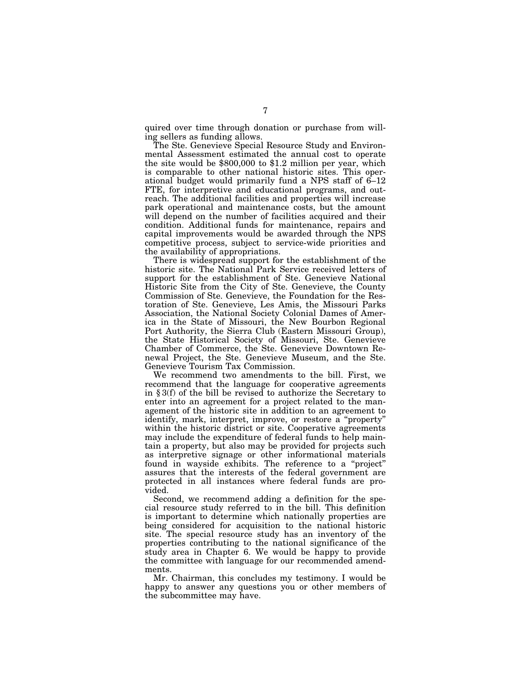quired over time through donation or purchase from willing sellers as funding allows.

The Ste. Genevieve Special Resource Study and Environmental Assessment estimated the annual cost to operate the site would be \$800,000 to \$1.2 million per year, which is comparable to other national historic sites. This operational budget would primarily fund a NPS staff of 6–12 FTE, for interpretive and educational programs, and outreach. The additional facilities and properties will increase park operational and maintenance costs, but the amount will depend on the number of facilities acquired and their condition. Additional funds for maintenance, repairs and capital improvements would be awarded through the NPS competitive process, subject to service-wide priorities and the availability of appropriations.

There is widespread support for the establishment of the historic site. The National Park Service received letters of support for the establishment of Ste. Genevieve National Historic Site from the City of Ste. Genevieve, the County Commission of Ste. Genevieve, the Foundation for the Restoration of Ste. Genevieve, Les Amis, the Missouri Parks Association, the National Society Colonial Dames of America in the State of Missouri, the New Bourbon Regional Port Authority, the Sierra Club (Eastern Missouri Group), the State Historical Society of Missouri, Ste. Genevieve Chamber of Commerce, the Ste. Genevieve Downtown Renewal Project, the Ste. Genevieve Museum, and the Ste. Genevieve Tourism Tax Commission.

We recommend two amendments to the bill. First, we recommend that the language for cooperative agreements in § 3(f) of the bill be revised to authorize the Secretary to enter into an agreement for a project related to the management of the historic site in addition to an agreement to identify, mark, interpret, improve, or restore a ''property'' within the historic district or site. Cooperative agreements may include the expenditure of federal funds to help maintain a property, but also may be provided for projects such as interpretive signage or other informational materials found in wayside exhibits. The reference to a ''project'' assures that the interests of the federal government are protected in all instances where federal funds are provided.

Second, we recommend adding a definition for the special resource study referred to in the bill. This definition is important to determine which nationally properties are being considered for acquisition to the national historic site. The special resource study has an inventory of the properties contributing to the national significance of the study area in Chapter 6. We would be happy to provide the committee with language for our recommended amendments.

Mr. Chairman, this concludes my testimony. I would be happy to answer any questions you or other members of the subcommittee may have.